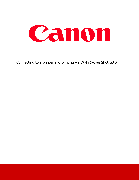

Connecting to a printer and printing via Wi-Fi (PowerShot G3 X)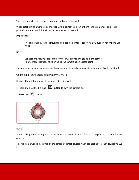You can connect your camera to a printer and print using Wi-Fi.

When establishing a wireless connection with a printer, you can either use the camera as an access point (Camera Access Point Mode) or use another access point.

IMPORTANT

• This camera requires a PrintBridge-compatible printer (supporting DPS over IP) for printing via Wi-Fi.

NOTE

- Connections require that a memory card with saved images be in the camera.
- Follow these instructions when using the camera as an access point.

To connect using another access point, please refer to Sending images to a computer (Wi-Fi function).

Connecting your camera and printer via Wi-Fi

Register the printer you want to connect to using Wi-Fi.

- 1. Press and hold the Playback ( $\Box$ ) button to turn the camera on.
- 2. Press the  $[$ <sup>(( $\uparrow$ )</sup>) button.



**NOTE** 

When making Wi-Fi settings for the first time, a screen will appear for you to register a nickname for the camera.

This nickname will be displayed on the screen of target devices when connecting to other devices via Wi-Fi.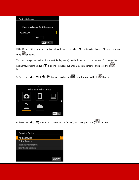| Device Nickname                  |  |  |  |  |
|----------------------------------|--|--|--|--|
|                                  |  |  |  |  |
| Enter a nickname for this camera |  |  |  |  |
| XXXXXXXX                         |  |  |  |  |
| ок                               |  |  |  |  |
| <b>MINI Cancel</b>               |  |  |  |  |

If the [Device Nickname] screen is displayed, press the  $[\triangle]$ ,  $[\nabla]$  buttons to choose [OK], and then press the  $\begin{bmatrix} \begin{smallmatrix} 0 \\ 1 \end{smallmatrix} \end{bmatrix}$  button.

You can change the device nickname (display name) that is displayed on the camera. To change the nickname, press the  $[\triangle]$ ,  $[\nabla]$  buttons to choose [Change Device Nickname] and press the  $[\triangle]$ button.

3. Press the  $[\triangle]$ ,  $[\blacktriangledown]$ ,  $[\blacktriangle]$ ,  $[\blacktriangleright]$  buttons to choose  $[\triangle]$ , and then press the  $[\triangle]$  button



4. Press the  $[\triangle]$ ,  $[\nabla]$  buttons to choose [Add a Device], and then press the  $[\triangle]$ ] button.

| Select a Device       |  |
|-----------------------|--|
| Add a Device          |  |
| Edit a Device         |  |
| sustan Perusa Shot    |  |
| <b>DOP1431 Camera</b> |  |
|                       |  |
|                       |  |
|                       |  |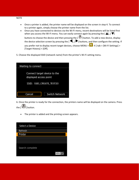- Once a printer is added, the printer name will be displayed on the screen in step 4. To connect to a printer again, simply choose the printer name from the list.
- Once you have connected to devices via the Wi-Fi menu, recent destinations will be listed first when you access the Wi-Fi menu. You can easily connect again by pressing the  $[\triangle]$ ,  $[\blacktriangledown]$ buttons to choose the device and then pressing the  $[\begin{matrix} \circledR \ \circledR \end{matrix}]$  button. To add a new device, display the device selection screen by pressing the  $[\blacktriangleleft]$ ,  $[\blacktriangleright]$  buttons, and then configure the setting. If you prefer not to display recent target devices, choose MENU >  $\blacksquare$ -4 ] tab > [Wi-Fi Settings] > [Target History] > [Off].
- 5. Choose the displayed SSID (network name) from the printer's Wi-Fi setting menu.

| Waiting to connect                                     |                       |  |  |  |
|--------------------------------------------------------|-----------------------|--|--|--|
| Connect target device to the<br>displayed access point |                       |  |  |  |
| SSID:                                                  |                       |  |  |  |
|                                                        |                       |  |  |  |
| Cancel                                                 | <b>Switch Network</b> |  |  |  |

6. Once the printer is ready for the connection, the printers name will be displayed on the camera. Press the  $\begin{bmatrix} 0 \\ 0 \end{bmatrix}$  button.

• The printer is added and the printing screen appears.

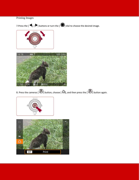## Printing Images

7. Press the  $[\blacktriangleleft]$ ,  $[\blacktriangleright]$  buttons or turn the  $[\clubsuit\clubsuit]$  dial to choose the desired image.





8. Press the cameras  $[$   $\bullet$   $]$  button, choose  $[$   $\bullet$   $]$ , and then press the  $[$   $\bullet$   $]$  button again.



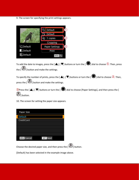9. The screen for specifying the print settings appears.



To add the date to images, press the [ $\blacktriangle$ ], [ $\blacktriangledown$ ] buttons or turn the [ $\bigcirc$ ] dial to choose  $\Box$ . Then, press the  $\begin{bmatrix} \begin{smallmatrix} 0 \\ 1 \end{smallmatrix} \end{bmatrix}$  button and make the settings.

To specify the number of prints, press the  $[$   $\blacktriangle]$ ,  $[$   $\nabla]$  buttons or turn the  $[$   $\clubsuit$  $]$  dial to choose 2. Then, press the  $\begin{bmatrix} 1 & 0 \\ 0 & 1 \end{bmatrix}$  button and make the settings.

**3** Press the [ $\triangle$ ], [ $\blacktriangledown$ ] buttons or turn the [ $\triangle$ ] dial to choose [Paper Settings], and then press the [ **B**] button.

10. The screen for setting the paper size appears.

| Paper Size         |                 |
|--------------------|-----------------|
| Default            |                 |
| CreditCard         |                 |
|                    |                 |
|                    |                 |
|                    |                 |
|                    |                 |
| <b>MENU</b> Cancel | <b>SET</b> Next |

Choose the desired paper size, and then press the  $\left[\frac{\sqrt{2}}{2}\right]$  button.

[Default] has been selected in the example image above.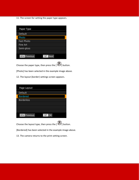11. The screen for setting the paper type appears.

| Paper Type           |                 |
|----------------------|-----------------|
| Default              |                 |
| Photo                |                 |
| <b>Fast Photo</b>    |                 |
| <b>Fine Art</b>      |                 |
| Semi-gloss           |                 |
|                      |                 |
| <b>MENU</b> Previous | <b>SET</b> Next |
|                      |                 |

Choose the paper type, then press the  $\left[\begin{matrix} 0 & 0 \\ 0 & 1 \end{matrix}\right]$  button.

[Photo] has been selected in the example image above.

12. The layout (border) settings screen appears.

| Page Layout          |               |  |
|----------------------|---------------|--|
| Default              |               |  |
| <b>Bordered</b>      |               |  |
| <b>Borderless</b>    |               |  |
|                      |               |  |
|                      |               |  |
|                      |               |  |
| <b>MENU</b> Previous | <b>SET OK</b> |  |
|                      |               |  |

Choose the layout type, then press the [ ] button.

[Bordered] has been selected in the example image above.

13. The camera returns to the print setting screen.